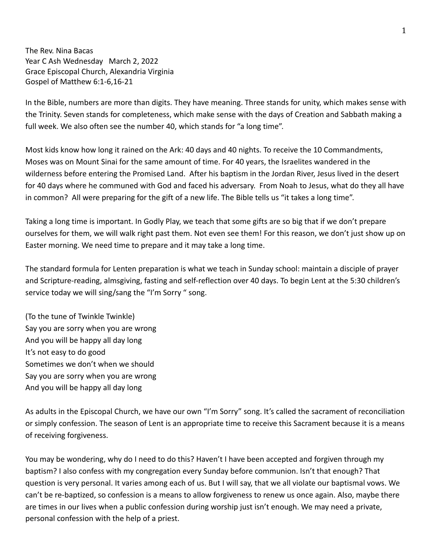The Rev. Nina Bacas Year C Ash Wednesday March 2, 2022 Grace Episcopal Church, Alexandria Virginia Gospel of Matthew 6:1-6,16-21

In the Bible, numbers are more than digits. They have meaning. Three stands for unity, which makes sense with the Trinity. Seven stands for completeness, which make sense with the days of Creation and Sabbath making a full week. We also often see the number 40, which stands for "a long time".

Most kids know how long it rained on the Ark: 40 days and 40 nights. To receive the 10 Commandments, Moses was on Mount Sinai for the same amount of time. For 40 years, the Israelites wandered in the wilderness before entering the Promised Land. After his baptism in the Jordan River, Jesus lived in the desert for 40 days where he communed with God and faced his adversary. From Noah to Jesus, what do they all have in common? All were preparing for the gift of a new life. The Bible tells us "it takes a long time".

Taking a long time is important. In Godly Play, we teach that some gifts are so big that if we don't prepare ourselves for them, we will walk right past them. Not even see them! For this reason, we don't just show up on Easter morning. We need time to prepare and it may take a long time.

The standard formula for Lenten preparation is what we teach in Sunday school: maintain a disciple of prayer and Scripture-reading, almsgiving, fasting and self-reflection over 40 days. To begin Lent at the 5:30 children's service today we will sing/sang the "I'm Sorry " song.

(To the tune of Twinkle Twinkle) Say you are sorry when you are wrong And you will be happy all day long It's not easy to do good Sometimes we don't when we should Say you are sorry when you are wrong And you will be happy all day long

As adults in the Episcopal Church, we have our own "I'm Sorry" song. It's called the sacrament of reconciliation or simply confession. The season of Lent is an appropriate time to receive this Sacrament because it is a means of receiving forgiveness.

You may be wondering, why do I need to do this? Haven't I have been accepted and forgiven through my baptism? I also confess with my congregation every Sunday before communion. Isn't that enough? That question is very personal. It varies among each of us. But I will say, that we all violate our baptismal vows. We can't be re-baptized, so confession is a means to allow forgiveness to renew us once again. Also, maybe there are times in our lives when a public confession during worship just isn't enough. We may need a private, personal confession with the help of a priest.